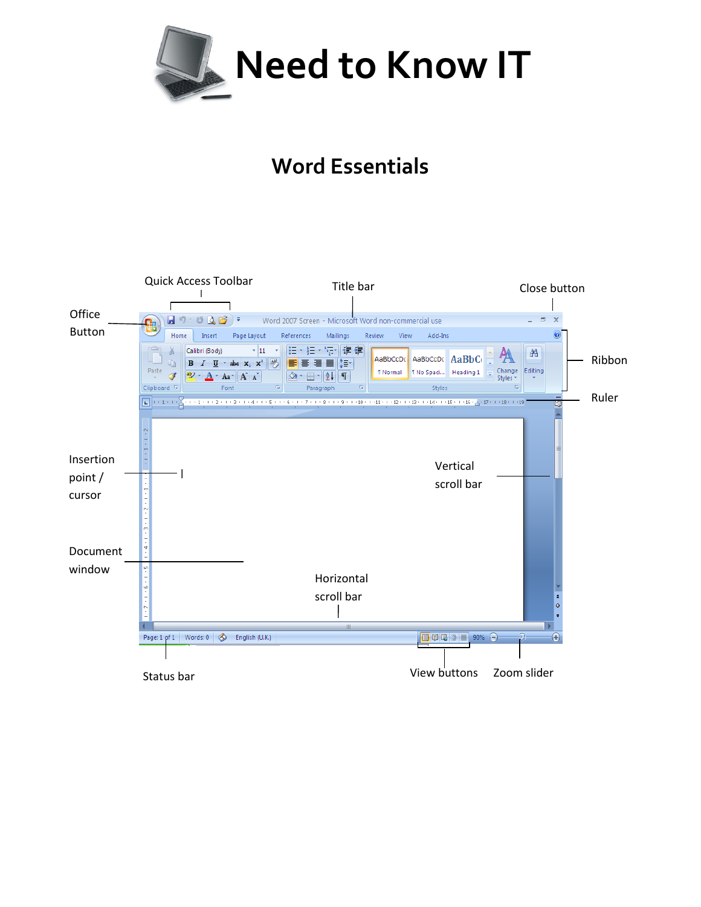

## **Word Essentials**